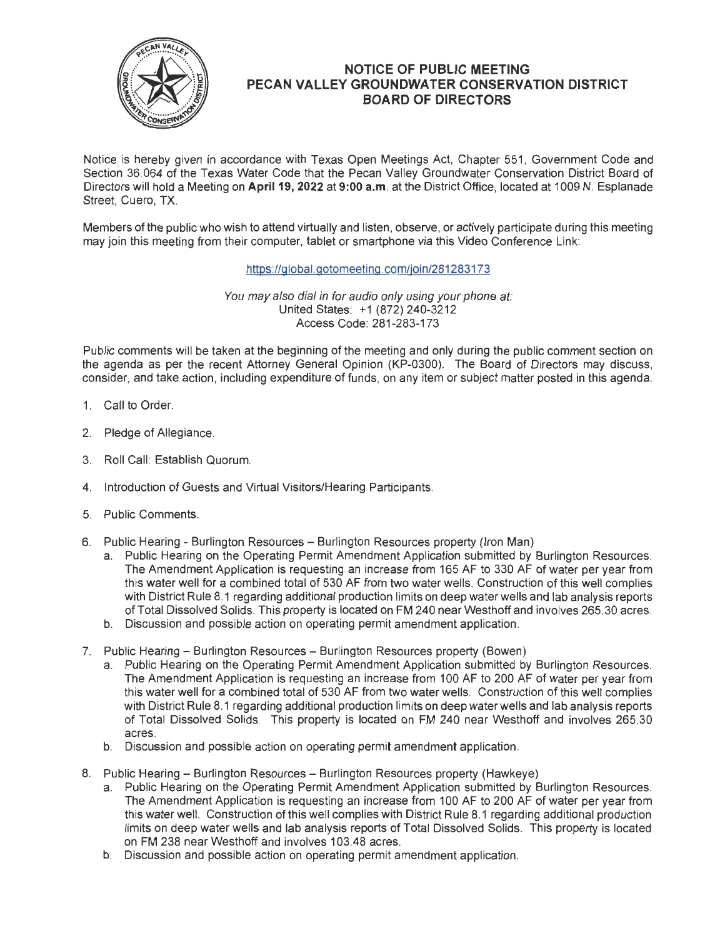

## **NOTICE OF PUBLIC MEETING PECAN VALLEY GROUNDWATER CONSERVATION DISTRICT BOARD OF DIRECTORS**

Notice is hereby given in accordance with Texas Open Meetings Act, Chapter 551 , Government Code and Section 36.064 of the Texas Water Code that the Pecan Valley Groundwater Conservation District Board of Directors will hold a Meeting on **April 19, 2022 at 9:00 a.m.** at the District Office, located at 1009 N. Esplanade Street, Cuero, TX.

Members of the public who wish to attend virtually and listen, observe, or actively participate during this meeting may join this meeting from their computer, tablet or smartphone via this Video Conference Link:

https://global.gotomeeting .com/join/281283173

You may also dial in for audio only using your phone at: United States: +1 (872) 240-3212 Access Code: 281-283-173

Public comments will be taken at the beginning of the meeting and only during the public comment section on the agenda as per the recent Attorney General Opinion (KP-0300). The Board of Directors may discuss, consider, and take action, including expenditure of funds, on any item or subject matter posted in this agenda.

- 1. Call to Order.
- 2. Pledge of Allegiance.
- 3. Roll Call: Establish Quorum.
- 4. Introduction of Guests and Virtual Visitors/Hearing Participants.
- 5. Public Comments.
- 6. Public Hearing Burlington Resources Burlington Resources property (Iron Man)
	- a. Public Hearing on the Operating Permit Amendment Application submitted by Burlington Resources. The Amendment Application is requesting an increase from 165 AF to 330 AF of water per year from this water well for a combined total of 530 AF from two water wells. Construction of this well complies with District Rule 8.1 regarding additional production limits on deep water wells and lab analysis reports of Total Dissolved Solids. This property is located on FM 240 near Westhoff and involves 265.30 acres.
	- b. Discussion and possible action on operating permit amendment application.
- 7. Public Hearing Burlington Resources Burlington Resources property (Bowen)
	- a. Public Hearing on the Operating Permit Amendment Application submitted by Burlington Resources. The Amendment Application is requesting an increase from 100 AF to 200 AF of water per year from this water well for a combined total of 530 AF from two water wells. Construction of this well complies with District Rule 8.1 regarding additional production limits on deep water wells and lab analysis reports of Total Dissolved Solids. This property is located on FM 240 near Westhoff and involves 265.30 acres.
	- b. Discussion and possible action on operating permit amendment application.
- 8. Public Hearing Burlington Resources Burlington Resources property (Hawkeye)
	- a. Public Hearing on the Operating Permit Amendment Application submitted by Burlington Resources. The Amendment Application is requesting an increase from 100 AF to 200 AF of water per year from this water well. Construction of this well complies with District Rule 8.1 regarding additional production limits on deep water wells and lab analysis reports of Total Dissolved Solids. This property is located on FM 238 near Westhoff and involves 103.48 acres.
	- b. Discussion and possible action on operating permit amendment application.